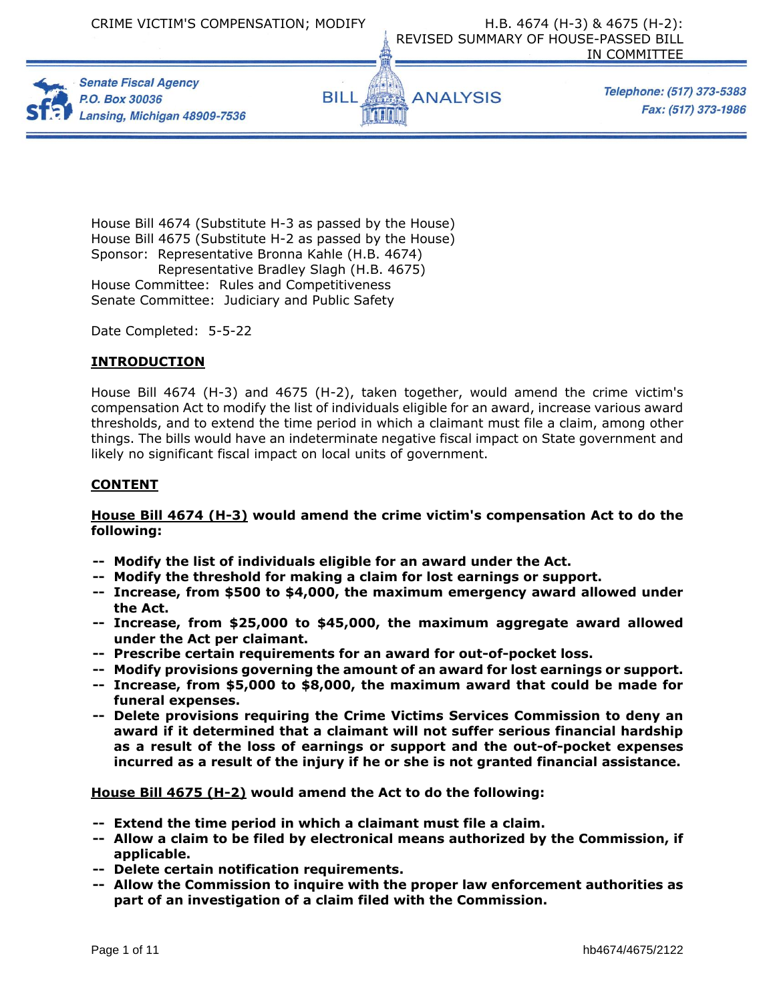





Telephone: (517) 373-5383 Fax: (517) 373-1986

House Bill 4674 (Substitute H-3 as passed by the House) House Bill 4675 (Substitute H-2 as passed by the House) Sponsor: Representative Bronna Kahle (H.B. 4674) Representative Bradley Slagh (H.B. 4675) House Committee: Rules and Competitiveness Senate Committee: Judiciary and Public Safety

Date Completed: 5-5-22

## **INTRODUCTION**

House Bill 4674 (H-3) and 4675 (H-2), taken together, would amend the crime victim's compensation Act to modify the list of individuals eligible for an award, increase various award thresholds, and to extend the time period in which a claimant must file a claim, among other things. The bills would have an indeterminate negative fiscal impact on State government and likely no significant fiscal impact on local units of government.

## **CONTENT**

## **House Bill 4674 (H-3) would amend the crime victim's compensation Act to do the following:**

- **-- Modify the list of individuals eligible for an award under the Act.**
- **-- Modify the threshold for making a claim for lost earnings or support.**
- **-- Increase, from \$500 to \$4,000, the maximum emergency award allowed under the Act.**
- **-- Increase, from \$25,000 to \$45,000, the maximum aggregate award allowed under the Act per claimant.**
- **-- Prescribe certain requirements for an award for out-of-pocket loss.**
- **-- Modify provisions governing the amount of an award for lost earnings or support.**
- **-- Increase, from \$5,000 to \$8,000, the maximum award that could be made for funeral expenses.**
- **-- Delete provisions requiring the Crime Victims Services Commission to deny an award if it determined that a claimant will not suffer serious financial hardship as a result of the loss of earnings or support and the out-of-pocket expenses incurred as a result of the injury if he or she is not granted financial assistance.**

**House Bill 4675 (H-2) would amend the Act to do the following:** 

- **-- Extend the time period in which a claimant must file a claim.**
- **-- Allow a claim to be filed by electronical means authorized by the Commission, if applicable.**
- **-- Delete certain notification requirements.**
- **-- Allow the Commission to inquire with the proper law enforcement authorities as part of an investigation of a claim filed with the Commission.**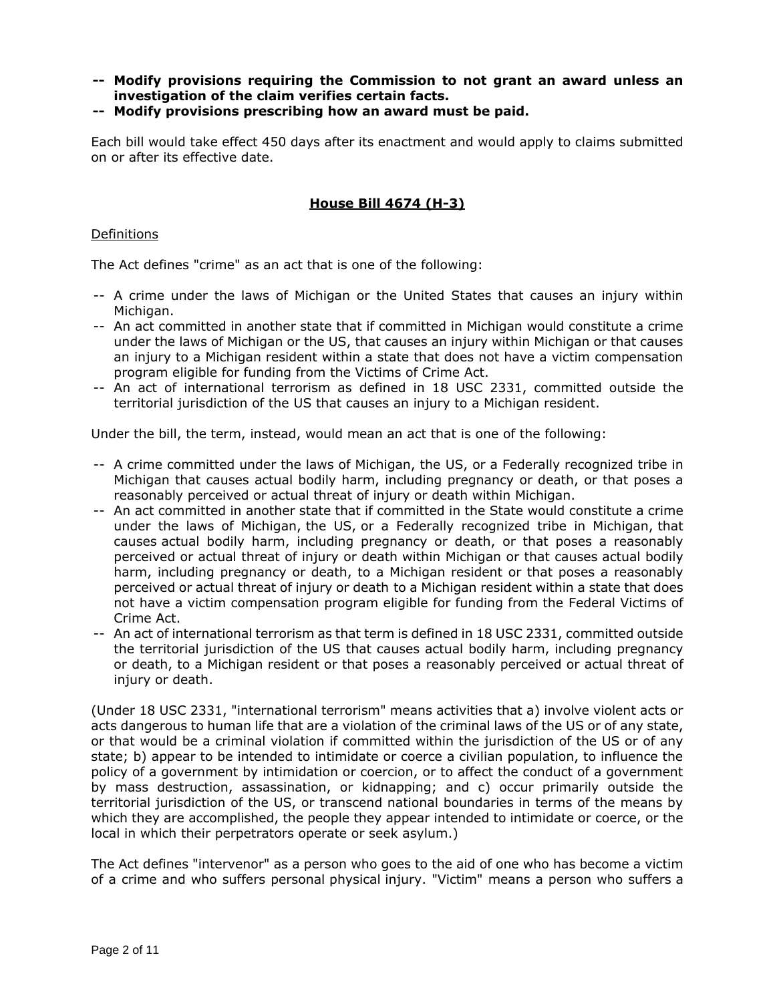- **-- Modify provisions requiring the Commission to not grant an award unless an investigation of the claim verifies certain facts.**
- **-- Modify provisions prescribing how an award must be paid.**

Each bill would take effect 450 days after its enactment and would apply to claims submitted on or after its effective date.

## **House Bill 4674 (H-3)**

## Definitions

The Act defines "crime" as an act that is one of the following:

- -- A crime under the laws of Michigan or the United States that causes an injury within Michigan.
- -- An act committed in another state that if committed in Michigan would constitute a crime under the laws of Michigan or the US, that causes an injury within Michigan or that causes an injury to a Michigan resident within a state that does not have a victim compensation program eligible for funding from the Victims of Crime Act.
- -- An act of international terrorism as defined in 18 USC 2331, committed outside the territorial jurisdiction of the US that causes an injury to a Michigan resident.

Under the bill, the term, instead, would mean an act that is one of the following:

- -- A crime committed under the laws of Michigan, the US, or a Federally recognized tribe in Michigan that causes actual bodily harm, including pregnancy or death, or that poses a reasonably perceived or actual threat of injury or death within Michigan.
- -- An act committed in another state that if committed in the State would constitute a crime under the laws of Michigan, the US, or a Federally recognized tribe in Michigan, that causes actual bodily harm, including pregnancy or death, or that poses a reasonably perceived or actual threat of injury or death within Michigan or that causes actual bodily harm, including pregnancy or death, to a Michigan resident or that poses a reasonably perceived or actual threat of injury or death to a Michigan resident within a state that does not have a victim compensation program eligible for funding from the Federal Victims of Crime Act.
- -- An act of international terrorism as that term is defined in 18 USC 2331, committed outside the territorial jurisdiction of the US that causes actual bodily harm, including pregnancy or death, to a Michigan resident or that poses a reasonably perceived or actual threat of injury or death.

(Under 18 USC 2331, "international terrorism" means activities that a) involve violent acts or acts dangerous to human life that are a violation of the criminal laws of the US or of any state, or that would be a criminal violation if committed within the jurisdiction of the US or of any state; b) appear to be intended to intimidate or coerce a civilian population, to influence the policy of a government by intimidation or coercion, or to affect the conduct of a government by mass destruction, assassination, or kidnapping; and c) occur primarily outside the territorial jurisdiction of the US, or transcend national boundaries in terms of the means by which they are accomplished, the people they appear intended to intimidate or coerce, or the local in which their perpetrators operate or seek asylum.)

The Act defines "intervenor" as a person who goes to the aid of one who has become a victim of a crime and who suffers personal physical injury. "Victim" means a person who suffers a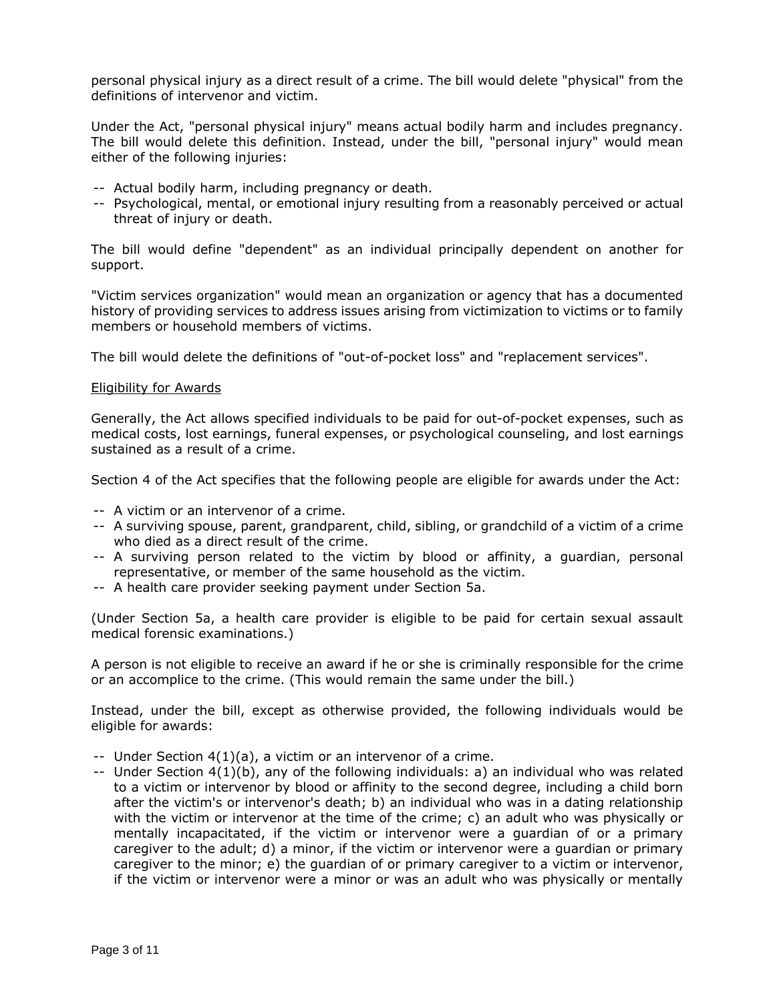personal physical injury as a direct result of a crime. The bill would delete "physical" from the definitions of intervenor and victim.

Under the Act, "personal physical injury" means actual bodily harm and includes pregnancy. The bill would delete this definition. Instead, under the bill, "personal injury" would mean either of the following injuries:

- -- Actual bodily harm, including pregnancy or death.
- -- Psychological, mental, or emotional injury resulting from a reasonably perceived or actual threat of injury or death.

The bill would define "dependent" as an individual principally dependent on another for support.

"Victim services organization" would mean an organization or agency that has a documented history of providing services to address issues arising from victimization to victims or to family members or household members of victims.

The bill would delete the definitions of "out-of-pocket loss" and "replacement services".

#### Eligibility for Awards

Generally, the Act allows specified individuals to be paid for out-of-pocket expenses, such as medical costs, lost earnings, funeral expenses, or psychological counseling, and lost earnings sustained as a result of a crime.

Section 4 of the Act specifies that the following people are eligible for awards under the Act:

- -- A victim or an intervenor of a crime.
- -- A surviving spouse, parent, grandparent, child, sibling, or grandchild of a victim of a crime who died as a direct result of the crime.
- -- A surviving person related to the victim by blood or affinity, a guardian, personal representative, or member of the same household as the victim.
- -- A health care provider seeking payment under Section 5a.

(Under Section 5a, a health care provider is eligible to be paid for certain sexual assault medical forensic examinations.)

A person is not eligible to receive an award if he or she is criminally responsible for the crime or an accomplice to the crime. (This would remain the same under the bill.)

Instead, under the bill, except as otherwise provided, the following individuals would be eligible for awards:

- -- Under Section 4(1)(a), a victim or an intervenor of a crime.
- -- Under Section 4(1)(b), any of the following individuals: a) an individual who was related to a victim or intervenor by blood or affinity to the second degree, including a child born after the victim's or intervenor's death; b) an individual who was in a dating relationship with the victim or intervenor at the time of the crime; c) an adult who was physically or mentally incapacitated, if the victim or intervenor were a guardian of or a primary caregiver to the adult; d) a minor, if the victim or intervenor were a guardian or primary caregiver to the minor; e) the guardian of or primary caregiver to a victim or intervenor, if the victim or intervenor were a minor or was an adult who was physically or mentally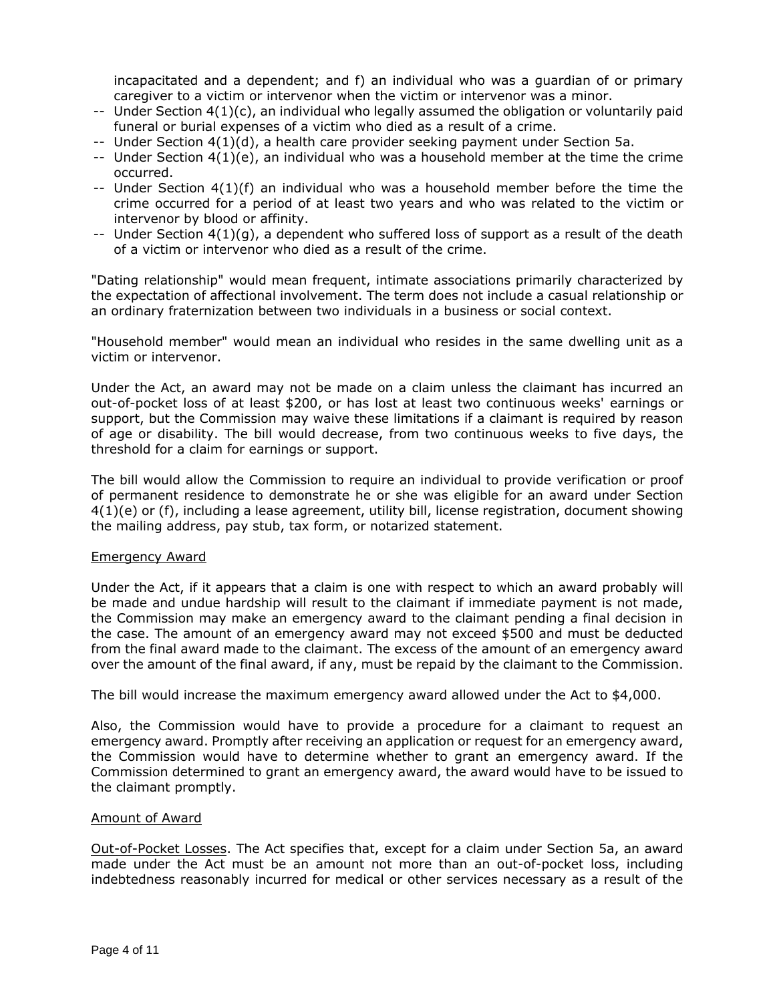incapacitated and a dependent; and f) an individual who was a guardian of or primary caregiver to a victim or intervenor when the victim or intervenor was a minor.

- -- Under Section 4(1)(c), an individual who legally assumed the obligation or voluntarily paid funeral or burial expenses of a victim who died as a result of a crime.
- -- Under Section 4(1)(d), a health care provider seeking payment under Section 5a.
- $-$  Under Section  $4(1)(e)$ , an individual who was a household member at the time the crime occurred.
- $-$  Under Section  $4(1)(f)$  an individual who was a household member before the time the crime occurred for a period of at least two years and who was related to the victim or intervenor by blood or affinity.
- -- Under Section  $4(1)(g)$ , a dependent who suffered loss of support as a result of the death of a victim or intervenor who died as a result of the crime.

"Dating relationship" would mean frequent, intimate associations primarily characterized by the expectation of affectional involvement. The term does not include a casual relationship or an ordinary fraternization between two individuals in a business or social context.

"Household member" would mean an individual who resides in the same dwelling unit as a victim or intervenor.

Under the Act, an award may not be made on a claim unless the claimant has incurred an out-of-pocket loss of at least \$200, or has lost at least two continuous weeks' earnings or support, but the Commission may waive these limitations if a claimant is required by reason of age or disability. The bill would decrease, from two continuous weeks to five days, the threshold for a claim for earnings or support.

The bill would allow the Commission to require an individual to provide verification or proof of permanent residence to demonstrate he or she was eligible for an award under Section 4(1)(e) or (f), including a lease agreement, utility bill, license registration, document showing the mailing address, pay stub, tax form, or notarized statement.

## Emergency Award

Under the Act, if it appears that a claim is one with respect to which an award probably will be made and undue hardship will result to the claimant if immediate payment is not made, the Commission may make an emergency award to the claimant pending a final decision in the case. The amount of an emergency award may not exceed \$500 and must be deducted from the final award made to the claimant. The excess of the amount of an emergency award over the amount of the final award, if any, must be repaid by the claimant to the Commission.

The bill would increase the maximum emergency award allowed under the Act to \$4,000.

Also, the Commission would have to provide a procedure for a claimant to request an emergency award. Promptly after receiving an application or request for an emergency award, the Commission would have to determine whether to grant an emergency award. If the Commission determined to grant an emergency award, the award would have to be issued to the claimant promptly.

## Amount of Award

Out-of-Pocket Losses. The Act specifies that, except for a claim under Section 5a, an award made under the Act must be an amount not more than an out-of-pocket loss, including indebtedness reasonably incurred for medical or other services necessary as a result of the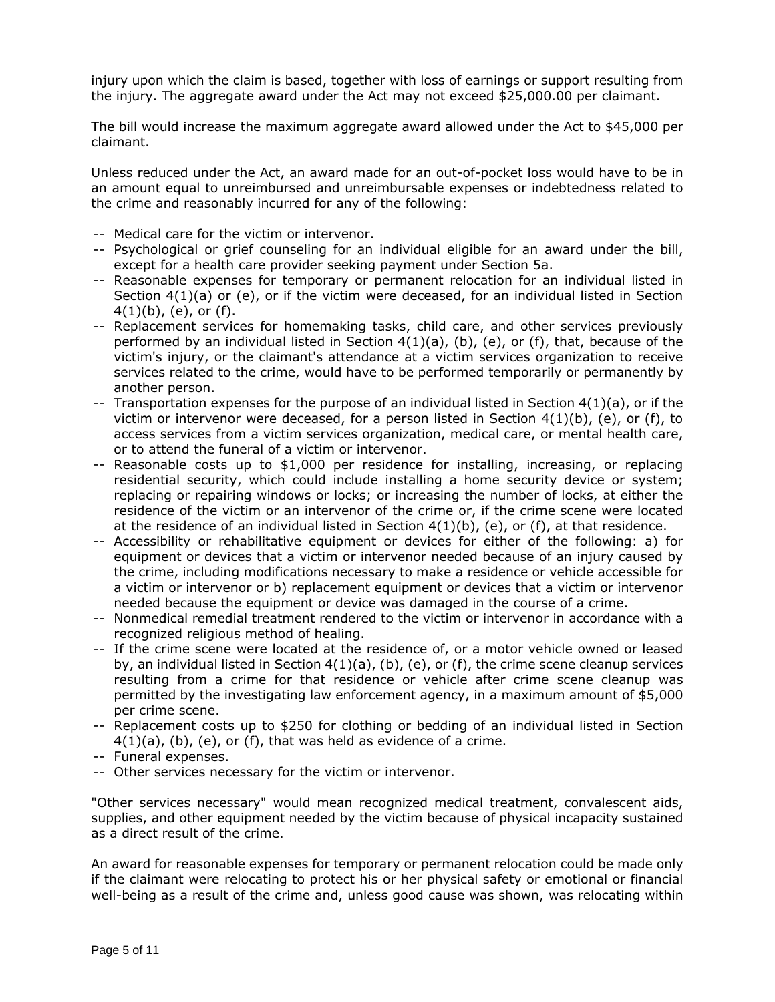injury upon which the claim is based, together with loss of earnings or support resulting from the injury. The aggregate award under the Act may not exceed \$25,000.00 per claimant.

The bill would increase the maximum aggregate award allowed under the Act to \$45,000 per claimant.

Unless reduced under the Act, an award made for an out-of-pocket loss would have to be in an amount equal to unreimbursed and unreimbursable expenses or indebtedness related to the crime and reasonably incurred for any of the following:

- -- Medical care for the victim or intervenor.
- -- Psychological or grief counseling for an individual eligible for an award under the bill, except for a health care provider seeking payment under Section 5a.
- -- Reasonable expenses for temporary or permanent relocation for an individual listed in Section 4(1)(a) or (e), or if the victim were deceased, for an individual listed in Section  $4(1)(b)$ , (e), or (f).
- -- Replacement services for homemaking tasks, child care, and other services previously performed by an individual listed in Section  $4(1)(a)$ , (b), (e), or (f), that, because of the victim's injury, or the claimant's attendance at a victim services organization to receive services related to the crime, would have to be performed temporarily or permanently by another person.
- -- Transportation expenses for the purpose of an individual listed in Section  $4(1)(a)$ , or if the victim or intervenor were deceased, for a person listed in Section  $4(1)(b)$ , (e), or (f), to access services from a victim services organization, medical care, or mental health care, or to attend the funeral of a victim or intervenor.
- -- Reasonable costs up to \$1,000 per residence for installing, increasing, or replacing residential security, which could include installing a home security device or system; replacing or repairing windows or locks; or increasing the number of locks, at either the residence of the victim or an intervenor of the crime or, if the crime scene were located at the residence of an individual listed in Section  $4(1)(b)$ , (e), or (f), at that residence.
- -- Accessibility or rehabilitative equipment or devices for either of the following: a) for equipment or devices that a victim or intervenor needed because of an injury caused by the crime, including modifications necessary to make a residence or vehicle accessible for a victim or intervenor or b) replacement equipment or devices that a victim or intervenor needed because the equipment or device was damaged in the course of a crime.
- -- Nonmedical remedial treatment rendered to the victim or intervenor in accordance with a recognized religious method of healing.
- -- If the crime scene were located at the residence of, or a motor vehicle owned or leased by, an individual listed in Section  $4(1)(a)$ , (b), (e), or (f), the crime scene cleanup services resulting from a crime for that residence or vehicle after crime scene cleanup was permitted by the investigating law enforcement agency, in a maximum amount of \$5,000 per crime scene.
- -- Replacement costs up to \$250 for clothing or bedding of an individual listed in Section  $4(1)(a)$ , (b), (e), or (f), that was held as evidence of a crime.
- -- Funeral expenses.
- -- Other services necessary for the victim or intervenor.

"Other services necessary" would mean recognized medical treatment, convalescent aids, supplies, and other equipment needed by the victim because of physical incapacity sustained as a direct result of the crime.

An award for reasonable expenses for temporary or permanent relocation could be made only if the claimant were relocating to protect his or her physical safety or emotional or financial well-being as a result of the crime and, unless good cause was shown, was relocating within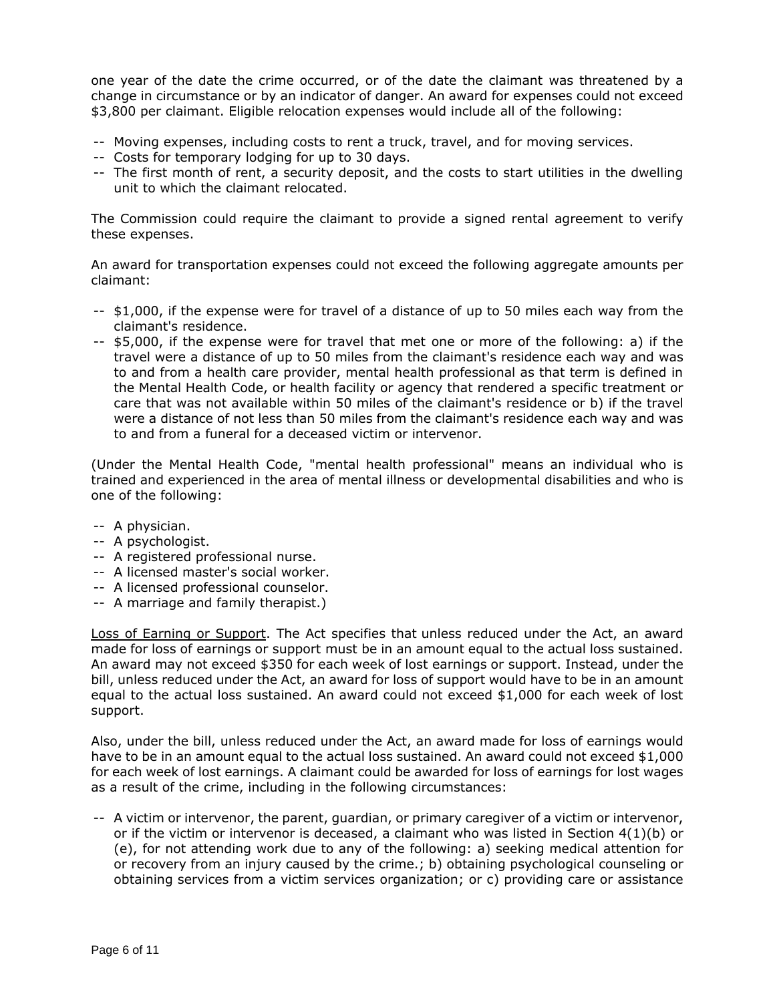one year of the date the crime occurred, or of the date the claimant was threatened by a change in circumstance or by an indicator of danger. An award for expenses could not exceed \$3,800 per claimant. Eligible relocation expenses would include all of the following:

- -- Moving expenses, including costs to rent a truck, travel, and for moving services.
- -- Costs for temporary lodging for up to 30 days.
- -- The first month of rent, a security deposit, and the costs to start utilities in the dwelling unit to which the claimant relocated.

The Commission could require the claimant to provide a signed rental agreement to verify these expenses.

An award for transportation expenses could not exceed the following aggregate amounts per claimant:

- -- \$1,000, if the expense were for travel of a distance of up to 50 miles each way from the claimant's residence.
- -- \$5,000, if the expense were for travel that met one or more of the following: a) if the travel were a distance of up to 50 miles from the claimant's residence each way and was to and from a health care provider, mental health professional as that term is defined in the Mental Health Code, or health facility or agency that rendered a specific treatment or care that was not available within 50 miles of the claimant's residence or b) if the travel were a distance of not less than 50 miles from the claimant's residence each way and was to and from a funeral for a deceased victim or intervenor.

(Under the Mental Health Code, "mental health professional" means an individual who is trained and experienced in the area of mental illness or developmental disabilities and who is one of the following:

- -- A physician.
- -- A psychologist.
- -- A registered professional nurse.
- -- A licensed master's social worker.
- -- A licensed professional counselor.
- -- A marriage and family therapist.)

Loss of Earning or Support. The Act specifies that unless reduced under the Act, an award made for loss of earnings or support must be in an amount equal to the actual loss sustained. An award may not exceed \$350 for each week of lost earnings or support. Instead, under the bill, unless reduced under the Act, an award for loss of support would have to be in an amount equal to the actual loss sustained. An award could not exceed \$1,000 for each week of lost support.

Also, under the bill, unless reduced under the Act, an award made for loss of earnings would have to be in an amount equal to the actual loss sustained. An award could not exceed \$1,000 for each week of lost earnings. A claimant could be awarded for loss of earnings for lost wages as a result of the crime, including in the following circumstances:

-- A victim or intervenor, the parent, guardian, or primary caregiver of a victim or intervenor, or if the victim or intervenor is deceased, a claimant who was listed in Section  $4(1)(b)$  or (e), for not attending work due to any of the following: a) seeking medical attention for or recovery from an injury caused by the crime.; b) obtaining psychological counseling or obtaining services from a victim services organization; or c) providing care or assistance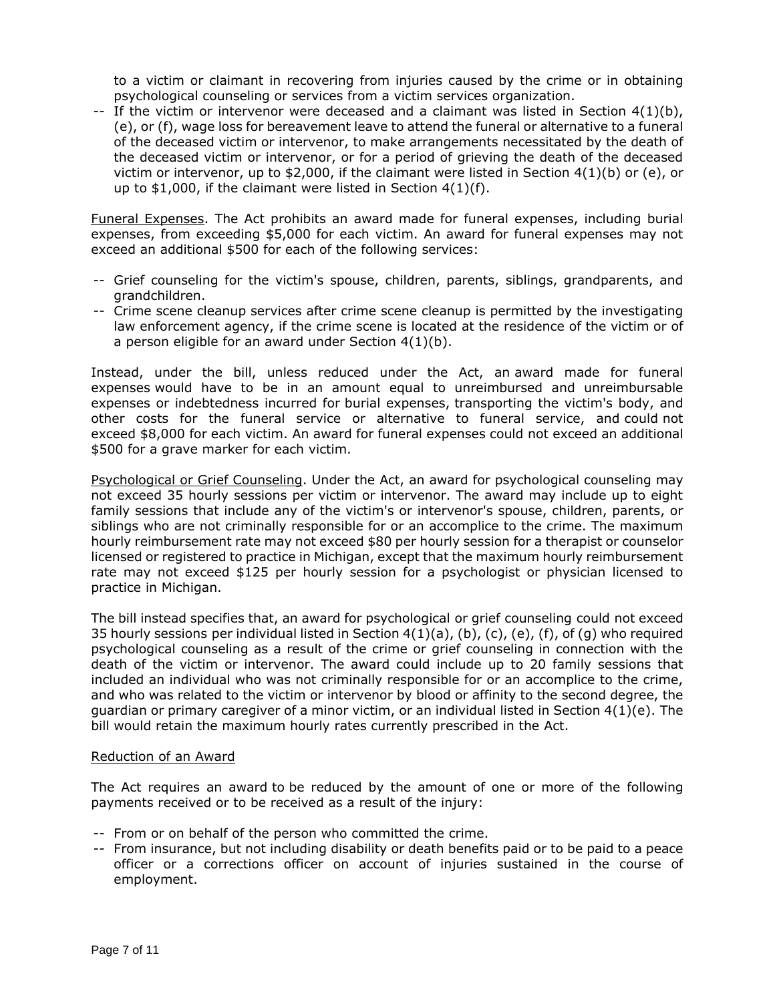to a victim or claimant in recovering from injuries caused by the crime or in obtaining psychological counseling or services from a victim services organization.

-- If the victim or intervenor were deceased and a claimant was listed in Section  $4(1)(b)$ , (e), or (f), wage loss for bereavement leave to attend the funeral or alternative to a funeral of the deceased victim or intervenor, to make arrangements necessitated by the death of the deceased victim or intervenor, or for a period of grieving the death of the deceased victim or intervenor, up to \$2,000, if the claimant were listed in Section  $4(1)(b)$  or (e), or up to \$1,000, if the claimant were listed in Section 4(1)(f).

Funeral Expenses. The Act prohibits an award made for funeral expenses, including burial expenses, from exceeding \$5,000 for each victim. An award for funeral expenses may not exceed an additional \$500 for each of the following services:

- -- Grief counseling for the victim's spouse, children, parents, siblings, grandparents, and grandchildren.
- -- Crime scene cleanup services after crime scene cleanup is permitted by the investigating law enforcement agency, if the crime scene is located at the residence of the victim or of a person eligible for an award under Section 4(1)(b).

Instead, under the bill, unless reduced under the Act, an award made for funeral expenses would have to be in an amount equal to unreimbursed and unreimbursable expenses or indebtedness incurred for burial expenses, transporting the victim's body, and other costs for the funeral service or alternative to funeral service, and could not exceed \$8,000 for each victim. An award for funeral expenses could not exceed an additional \$500 for a grave marker for each victim.

Psychological or Grief Counseling. Under the Act, an award for psychological counseling may not exceed 35 hourly sessions per victim or intervenor. The award may include up to eight family sessions that include any of the victim's or intervenor's spouse, children, parents, or siblings who are not criminally responsible for or an accomplice to the crime. The maximum hourly reimbursement rate may not exceed \$80 per hourly session for a therapist or counselor licensed or registered to practice in Michigan, except that the maximum hourly reimbursement rate may not exceed \$125 per hourly session for a psychologist or physician licensed to practice in Michigan.

The bill instead specifies that, an award for psychological or grief counseling could not exceed 35 hourly sessions per individual listed in Section 4(1)(a), (b), (c), (e), (f), of (g) who required psychological counseling as a result of the crime or grief counseling in connection with the death of the victim or intervenor. The award could include up to 20 family sessions that included an individual who was not criminally responsible for or an accomplice to the crime, and who was related to the victim or intervenor by blood or affinity to the second degree, the guardian or primary caregiver of a minor victim, or an individual listed in Section  $4(1)(e)$ . The bill would retain the maximum hourly rates currently prescribed in the Act.

## Reduction of an Award

The Act requires an award to be reduced by the amount of one or more of the following payments received or to be received as a result of the injury:

- -- From or on behalf of the person who committed the crime.
- -- From insurance, but not including disability or death benefits paid or to be paid to a peace officer or a corrections officer on account of injuries sustained in the course of employment.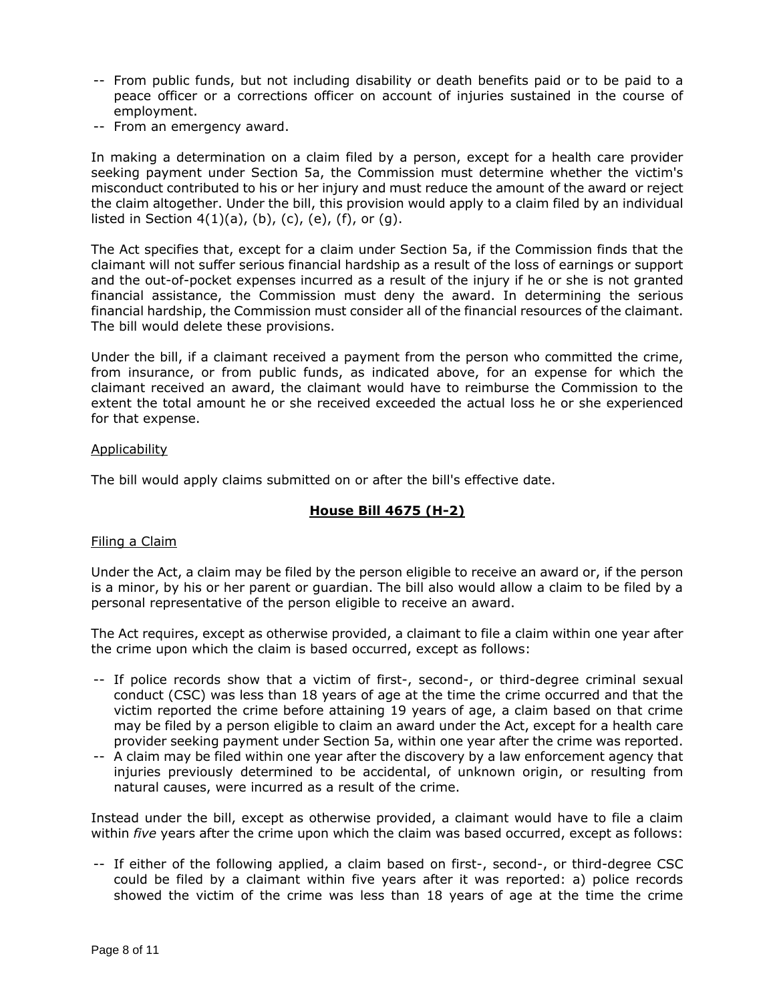- -- From public funds, but not including disability or death benefits paid or to be paid to a peace officer or a corrections officer on account of injuries sustained in the course of employment.
- -- From an emergency award.

In making a determination on a claim filed by a person, except for a health care provider seeking payment under Section 5a, the Commission must determine whether the victim's misconduct contributed to his or her injury and must reduce the amount of the award or reject the claim altogether. Under the bill, this provision would apply to a claim filed by an individual listed in Section  $4(1)(a)$ , (b), (c), (e), (f), or (q).

The Act specifies that, except for a claim under Section 5a, if the Commission finds that the claimant will not suffer serious financial hardship as a result of the loss of earnings or support and the out-of-pocket expenses incurred as a result of the injury if he or she is not granted financial assistance, the Commission must deny the award. In determining the serious financial hardship, the Commission must consider all of the financial resources of the claimant. The bill would delete these provisions.

Under the bill, if a claimant received a payment from the person who committed the crime, from insurance, or from public funds, as indicated above, for an expense for which the claimant received an award, the claimant would have to reimburse the Commission to the extent the total amount he or she received exceeded the actual loss he or she experienced for that expense.

#### **Applicability**

The bill would apply claims submitted on or after the bill's effective date.

# **House Bill 4675 (H-2)**

## Filing a Claim

Under the Act, a claim may be filed by the person eligible to receive an award or, if the person is a minor, by his or her parent or guardian. The bill also would allow a claim to be filed by a personal representative of the person eligible to receive an award.

The Act requires, except as otherwise provided, a claimant to file a claim within one year after the crime upon which the claim is based occurred, except as follows:

- -- If police records show that a victim of first-, second-, or third-degree criminal sexual conduct (CSC) was less than 18 years of age at the time the crime occurred and that the victim reported the crime before attaining 19 years of age, a claim based on that crime may be filed by a person eligible to claim an award under the Act, except for a health care provider seeking payment under Section 5a, within one year after the crime was reported.
- -- A claim may be filed within one year after the discovery by a law enforcement agency that injuries previously determined to be accidental, of unknown origin, or resulting from natural causes, were incurred as a result of the crime.

Instead under the bill, except as otherwise provided, a claimant would have to file a claim within *five* years after the crime upon which the claim was based occurred, except as follows:

-- If either of the following applied, a claim based on first-, second-, or third-degree CSC could be filed by a claimant within five years after it was reported: a) police records showed the victim of the crime was less than 18 years of age at the time the crime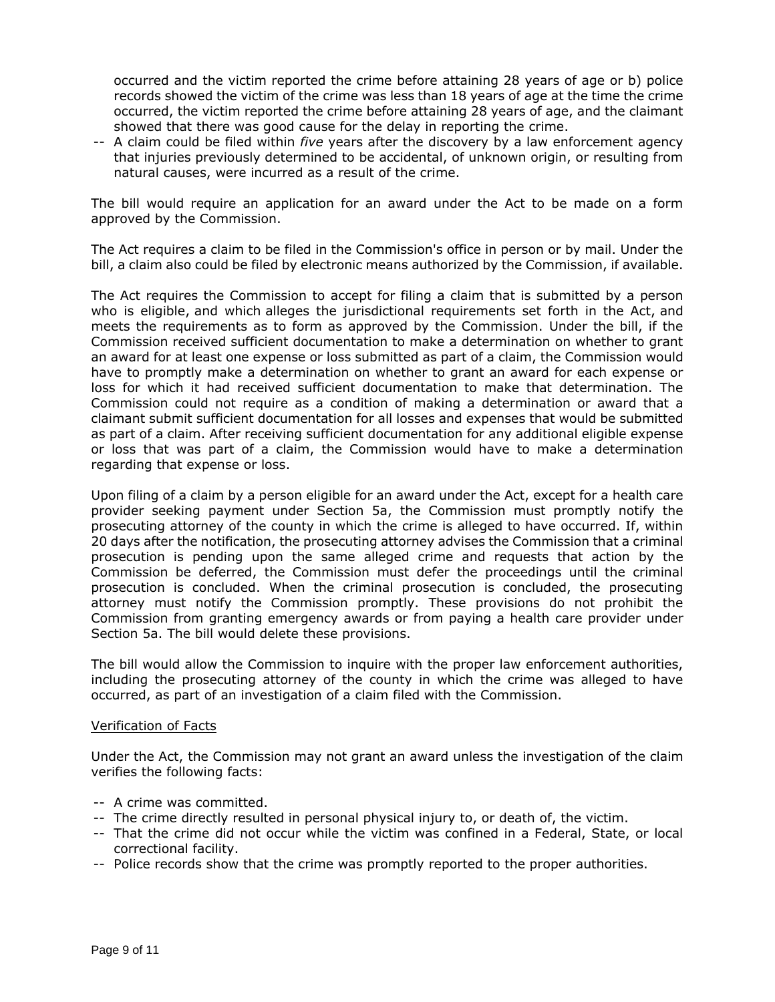occurred and the victim reported the crime before attaining 28 years of age or b) police records showed the victim of the crime was less than 18 years of age at the time the crime occurred, the victim reported the crime before attaining 28 years of age, and the claimant showed that there was good cause for the delay in reporting the crime.

-- A claim could be filed within *five* years after the discovery by a law enforcement agency that injuries previously determined to be accidental, of unknown origin, or resulting from natural causes, were incurred as a result of the crime.

The bill would require an application for an award under the Act to be made on a form approved by the Commission.

The Act requires a claim to be filed in the Commission's office in person or by mail. Under the bill, a claim also could be filed by electronic means authorized by the Commission, if available.

The Act requires the Commission to accept for filing a claim that is submitted by a person who is eligible, and which alleges the jurisdictional requirements set forth in the Act, and meets the requirements as to form as approved by the Commission. Under the bill, if the Commission received sufficient documentation to make a determination on whether to grant an award for at least one expense or loss submitted as part of a claim, the Commission would have to promptly make a determination on whether to grant an award for each expense or loss for which it had received sufficient documentation to make that determination. The Commission could not require as a condition of making a determination or award that a claimant submit sufficient documentation for all losses and expenses that would be submitted as part of a claim. After receiving sufficient documentation for any additional eligible expense or loss that was part of a claim, the Commission would have to make a determination regarding that expense or loss.

Upon filing of a claim by a person eligible for an award under the Act, except for a health care provider seeking payment under Section 5a, the Commission must promptly notify the prosecuting attorney of the county in which the crime is alleged to have occurred. If, within 20 days after the notification, the prosecuting attorney advises the Commission that a criminal prosecution is pending upon the same alleged crime and requests that action by the Commission be deferred, the Commission must defer the proceedings until the criminal prosecution is concluded. When the criminal prosecution is concluded, the prosecuting attorney must notify the Commission promptly. These provisions do not prohibit the Commission from granting emergency awards or from paying a health care provider under Section 5a. The bill would delete these provisions.

The bill would allow the Commission to inquire with the proper law enforcement authorities, including the prosecuting attorney of the county in which the crime was alleged to have occurred, as part of an investigation of a claim filed with the Commission.

#### Verification of Facts

Under the Act, the Commission may not grant an award unless the investigation of the claim verifies the following facts:

- -- A crime was committed.
- -- The crime directly resulted in personal physical injury to, or death of, the victim.
- -- That the crime did not occur while the victim was confined in a Federal, State, or local correctional facility.
- -- Police records show that the crime was promptly reported to the proper authorities.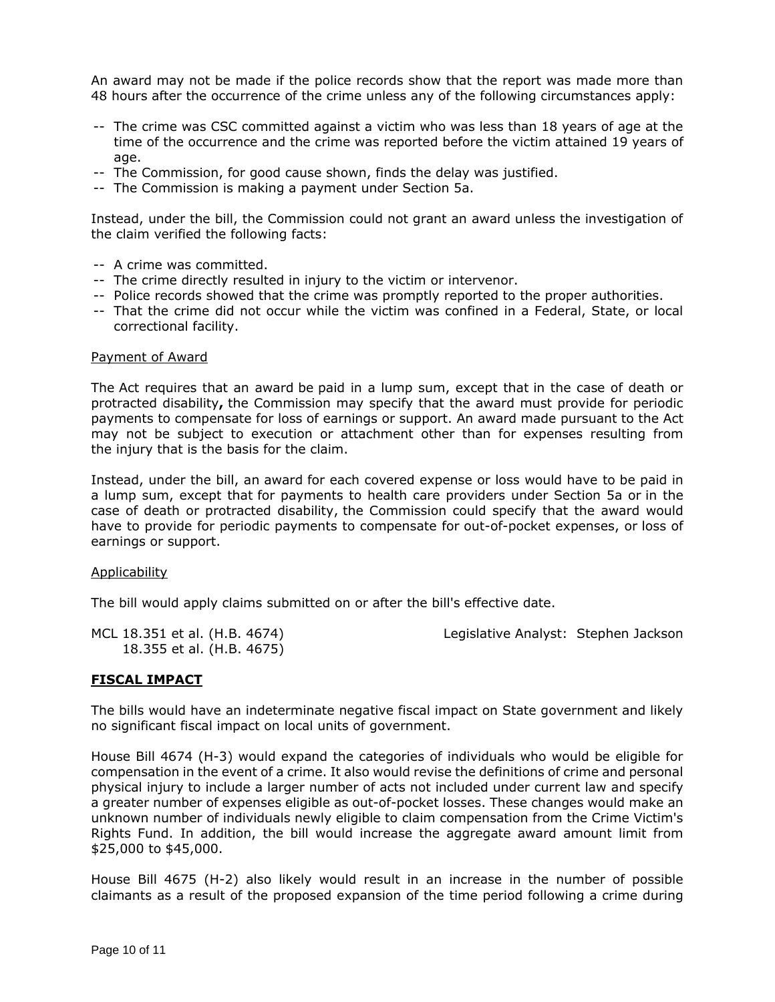An award may not be made if the police records show that the report was made more than 48 hours after the occurrence of the crime unless any of the following circumstances apply:

- -- The crime was CSC committed against a victim who was less than 18 years of age at the time of the occurrence and the crime was reported before the victim attained 19 years of age.
- -- The Commission, for good cause shown, finds the delay was justified.
- -- The Commission is making a payment under Section 5a.

Instead, under the bill, the Commission could not grant an award unless the investigation of the claim verified the following facts:

- -- A crime was committed.
- -- The crime directly resulted in injury to the victim or intervenor.
- -- Police records showed that the crime was promptly reported to the proper authorities.
- -- That the crime did not occur while the victim was confined in a Federal, State, or local correctional facility.

#### Payment of Award

The Act requires that an award be paid in a lump sum, except that in the case of death or protracted disability**,** the Commission may specify that the award must provide for periodic payments to compensate for loss of earnings or support. An award made pursuant to the Act may not be subject to execution or attachment other than for expenses resulting from the injury that is the basis for the claim.

Instead, under the bill, an award for each covered expense or loss would have to be paid in a lump sum, except that for payments to health care providers under Section 5a or in the case of death or protracted disability, the Commission could specify that the award would have to provide for periodic payments to compensate for out-of-pocket expenses, or loss of earnings or support.

#### Applicability

The bill would apply claims submitted on or after the bill's effective date.

| MCL 18.351 et al. (H.B. 4674) | Legislative Analyst: Stephen Jackson |
|-------------------------------|--------------------------------------|
| 18.355 et al. (H.B. 4675)     |                                      |

#### **FISCAL IMPACT**

The bills would have an indeterminate negative fiscal impact on State government and likely no significant fiscal impact on local units of government.

House Bill 4674 (H-3) would expand the categories of individuals who would be eligible for compensation in the event of a crime. It also would revise the definitions of crime and personal physical injury to include a larger number of acts not included under current law and specify a greater number of expenses eligible as out-of-pocket losses. These changes would make an unknown number of individuals newly eligible to claim compensation from the Crime Victim's Rights Fund. In addition, the bill would increase the aggregate award amount limit from \$25,000 to \$45,000.

House Bill 4675 (H-2) also likely would result in an increase in the number of possible claimants as a result of the proposed expansion of the time period following a crime during